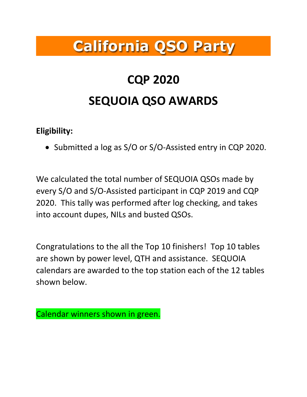# **California QSO Party**

# **CQP 2020 SEQUOIA QSO AWARDS**

#### **Eligibility:**

• Submitted a log as S/O or S/O-Assisted entry in CQP 2020.

We calculated the total number of SEQUOIA QSOs made by every S/O and S/O-Assisted participant in CQP 2019 and CQP 2020. This tally was performed after log checking, and takes into account dupes, NILs and busted QSOs.

Congratulations to the all the Top 10 finishers! Top 10 tables are shown by power level, QTH and assistance. SEQUOIA calendars are awarded to the top station each of the 12 tables shown below.

Calendar winners shown in green.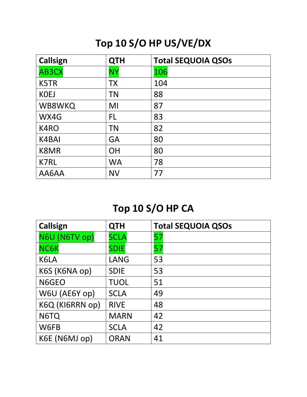# **Top 10 S/O HP US/VE/DX**

| Callsign    | <b>QTH</b> | <b>Total SEQUOIA QSOs</b> |
|-------------|------------|---------------------------|
| AB3CX       | <b>NY</b>  | 106                       |
| K5TR        | <b>TX</b>  | 104                       |
| <b>KOEJ</b> | <b>TN</b>  | 88                        |
| WB8WKQ      | MI         | 87                        |
| WX4G        | FL         | 83                        |
| K4RO        | <b>TN</b>  | 82                        |
| K4BAI       | <b>GA</b>  | 80                        |
| K8MR        | <b>OH</b>  | 80                        |
| K7RL        | <b>WA</b>  | 78                        |
| AA6AA       | <b>NV</b>  | 77                        |

# **Top 10 S/O HP CA**

| Callsign        | <b>QTH</b>  | <b>Total SEQUOIA QSOs</b> |
|-----------------|-------------|---------------------------|
| N6U (N6TV op)   | <b>SCLA</b> | 57                        |
| <b>NC6K</b>     | <b>SDIE</b> | 57                        |
| K6LA            | <b>LANG</b> | 53                        |
| K6S (K6NA op)   | <b>SDIE</b> | 53                        |
| N6GEO           | <b>TUOL</b> | 51                        |
| W6U (AE6Y op)   | <b>SCLA</b> | 49                        |
| K6Q (KI6RRN op) | <b>RIVE</b> | 48                        |
| N6TQ            | <b>MARN</b> | 42                        |
| W6FB            | <b>SCLA</b> | 42                        |
| K6E (N6MJ op)   | <b>ORAN</b> | 41                        |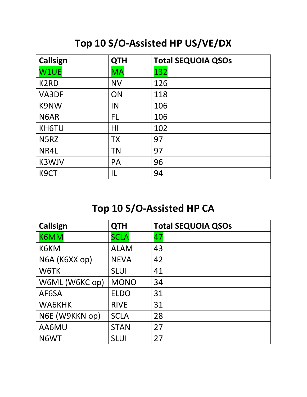#### **Top 10 S/O-Assisted HP US/VE/DX**

| <b>Callsign</b>   | <b>QTH</b>     | <b>Total SEQUOIA QSOs</b> |
|-------------------|----------------|---------------------------|
| W1UE              | <b>MA</b>      | 132                       |
| K <sub>2</sub> RD | <b>NV</b>      | 126                       |
| VA3DF             | ON             | 118                       |
| <b>K9NW</b>       | IN             | 106                       |
| N <sub>6</sub> AR | FL.            | 106                       |
| KH6TU             | H <sub>l</sub> | 102                       |
| N5RZ              | <b>TX</b>      | 97                        |
| NR4L              | <b>TN</b>      | 97                        |
| K3WJV             | <b>PA</b>      | 96                        |
| K <sub>9</sub> CT | IL             | 94                        |

# **Top 10 S/O-Assisted HP CA**

| Callsign       | <b>QTH</b>  | <b>Total SEQUOIA QSOs</b> |
|----------------|-------------|---------------------------|
| K6MM           | <b>SCLA</b> | 47                        |
| K6KM           | <b>ALAM</b> | 43                        |
| N6A (K6XX op)  | <b>NEVA</b> | 42                        |
| W6TK           | <b>SLUI</b> | 41                        |
| W6ML (W6KC op) | <b>MONO</b> | 34                        |
| AF6SA          | <b>ELDO</b> | 31                        |
| WA6KHK         | <b>RIVE</b> | 31                        |
| N6E (W9KKN op) | <b>SCLA</b> | 28                        |
| AA6MU          | <b>STAN</b> | 27                        |
| N6WT           | <b>SLUI</b> | 27                        |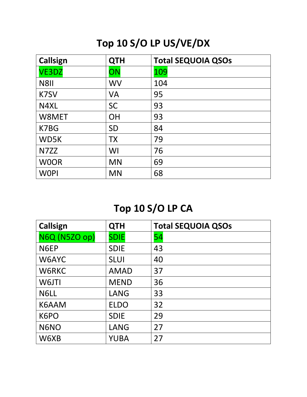# **Top 10 S/O LP US/VE/DX**

| Callsign     | <b>QTH</b> | <b>Total SEQUOIA QSOs</b> |
|--------------|------------|---------------------------|
| <b>VE3DZ</b> | ON         | 109                       |
| N8II         | <b>WV</b>  | 104                       |
| K7SV         | <b>VA</b>  | 95                        |
| N4XL         | <b>SC</b>  | 93                        |
| W8MET        | <b>OH</b>  | 93                        |
| K7BG         | <b>SD</b>  | 84                        |
| WD5K         | <b>TX</b>  | 79                        |
| N7ZZ         | WI         | 76                        |
| <b>WOOR</b>  | <b>MN</b>  | 69                        |
| <b>WOPI</b>  | <b>MN</b>  | 68                        |

# **Top 10 S/O LP CA**

| <b>Callsign</b>      | <b>QTH</b>  | <b>Total SEQUOIA QSOs</b> |
|----------------------|-------------|---------------------------|
| <b>N6Q (N5ZO op)</b> | <b>SDIE</b> | 54                        |
| N6EP                 | <b>SDIE</b> | 43                        |
| W6AYC                | <b>SLUI</b> | 40                        |
| W6RKC                | <b>AMAD</b> | 37                        |
| W6JTI                | <b>MEND</b> | 36                        |
| N6LL                 | <b>LANG</b> | 33                        |
| K6AAM                | <b>ELDO</b> | 32                        |
| K6PO                 | <b>SDIE</b> | 29                        |
| N6NO                 | <b>LANG</b> | 27                        |
| W6XB                 | <b>YUBA</b> | 27                        |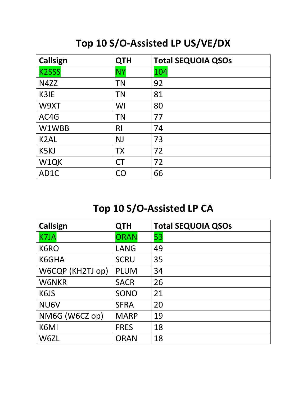# **Top 10 S/O-Assisted LP US/VE/DX**

| <b>Callsign</b>   | <b>QTH</b> | <b>Total SEQUOIA QSOs</b> |
|-------------------|------------|---------------------------|
| <b>K2SSS</b>      | <b>NY</b>  | 104                       |
| N4ZZ              | <b>TN</b>  | 92                        |
| K3IE              | <b>TN</b>  | 81                        |
| W9XT              | WI         | 80                        |
| AC4G              | <b>TN</b>  | 77                        |
| W1WBB             | <b>RI</b>  | 74                        |
| K <sub>2</sub> AL | <b>NJ</b>  | 73                        |
| K5KJ              | <b>TX</b>  | 72                        |
| W1QK              | <b>CT</b>  | 72                        |
| AD <sub>1</sub> C | CΟ         | 66                        |

# **Top 10 S/O-Assisted LP CA**

| <b>Callsign</b>  | <b>QTH</b>  | <b>Total SEQUOIA QSOs</b> |
|------------------|-------------|---------------------------|
| <b>K7JA</b>      | <b>ORAN</b> | 53                        |
| K6RO             | <b>LANG</b> | 49                        |
| K6GHA            | <b>SCRU</b> | 35                        |
| W6CQP (KH2TJ op) | <b>PLUM</b> | 34                        |
| <b>W6NKR</b>     | <b>SACR</b> | 26                        |
| K6JS             | SONO        | 21                        |
| NU6V             | <b>SFRA</b> | 20                        |
| NM6G (W6CZ op)   | <b>MARP</b> | 19                        |
| K6MI             | <b>FRES</b> | 18                        |
| W6ZL             | <b>ORAN</b> | 18                        |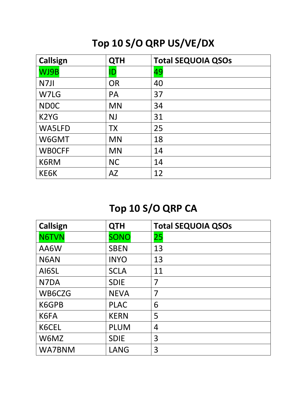# **Top 10 S/O QRP US/VE/DX**

| Callsign                      | <b>QTH</b> | <b>Total SEQUOIA QSOs</b> |
|-------------------------------|------------|---------------------------|
| WJ9B                          | ID         | 49                        |
| N7JI                          | <b>OR</b>  | 40                        |
| W7LG                          | <b>PA</b>  | 37                        |
| <b>NDOC</b>                   | <b>MN</b>  | 34                        |
| K <sub>2</sub> Y <sub>G</sub> | <b>NJ</b>  | 31                        |
| WA5LFD                        | <b>TX</b>  | 25                        |
| W6GMT                         | <b>MN</b>  | 18                        |
| <b>WBOCFF</b>                 | <b>MN</b>  | 14                        |
| K6RM                          | <b>NC</b>  | 14                        |
| KE6K                          | <b>AZ</b>  | 12                        |

# **Top 10 S/O QRP CA**

| Callsign     | <b>QTH</b>  | <b>Total SEQUOIA QSOs</b> |
|--------------|-------------|---------------------------|
| <b>N6TVN</b> | <b>SONO</b> | 25                        |
| AA6W         | <b>SBEN</b> | 13                        |
| N6AN         | <b>INYO</b> | 13                        |
| AI6SL        | <b>SCLA</b> | 11                        |
| N7DA         | <b>SDIE</b> | 7                         |
| WB6CZG       | <b>NEVA</b> | 7                         |
| K6GPB        | <b>PLAC</b> | 6                         |
| K6FA         | <b>KERN</b> | 5                         |
| K6CEL        | <b>PLUM</b> | 4                         |
| W6MZ         | <b>SDIE</b> | 3                         |
| WA7BNM       | LANG        | 3                         |